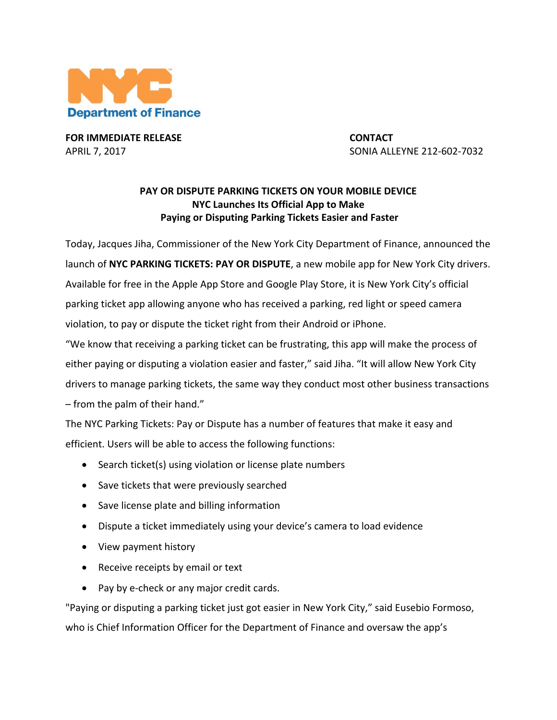

**FOR IMMEDIATE RELEASE CONTACT**

APRIL 7, 2017 **1998 12: 2017 CONICE 212-602-7032** 

## **PAY OR DISPUTE PARKING TICKETS ON YOUR MOBILE DEVICE NYC Launches Its Official App to Make** Paying or Disputing Parking Tickets Easier and Faster

Today, Jacques Jiha, Commissioner of the New York City Department of Finance, announced the launch of NYC PARKING TICKETS: PAY OR DISPUTE, a new mobile app for New York City drivers. Available for free in the Apple App Store and Google Play Store, it is New York City's official parking ticket app allowing anyone who has received a parking, red light or speed camera violation, to pay or dispute the ticket right from their Android or iPhone. "We know that receiving a parking ticket can be frustrating, this app will make the process of either paying or disputing a violation easier and faster," said Jiha. "It will allow New York City

drivers to manage parking tickets, the same way they conduct most other business transactions  $-$  from the palm of their hand."

The NYC Parking Tickets: Pay or Dispute has a number of features that make it easy and efficient. Users will be able to access the following functions:

- Search ticket(s) using violation or license plate numbers
- Save tickets that were previously searched
- Save license plate and billing information
- Dispute a ticket immediately using your device's camera to load evidence
- View payment history
- Receive receipts by email or text
- Pay by e-check or any major credit cards.

"Paying or disputing a parking ticket just got easier in New York City," said Eusebio Formoso, who is Chief Information Officer for the Department of Finance and oversaw the app's